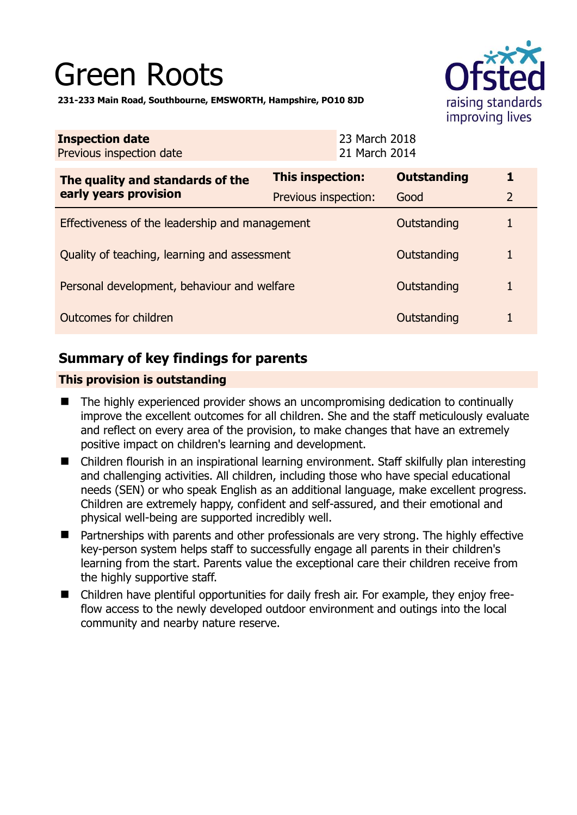# Green Roots



**231-233 Main Road, Southbourne, EMSWORTH, Hampshire, PO10 8JD** 

| <b>Inspection date</b><br>Previous inspection date        | 23 March 2018<br>21 March 2014 |                    |                |
|-----------------------------------------------------------|--------------------------------|--------------------|----------------|
| The quality and standards of the<br>early years provision | <b>This inspection:</b>        | <b>Outstanding</b> | 1              |
|                                                           | Previous inspection:           | Good               | $\overline{2}$ |
| Effectiveness of the leadership and management            |                                | Outstanding        |                |
| Quality of teaching, learning and assessment              |                                | Outstanding        | 1              |
| Personal development, behaviour and welfare               |                                | Outstanding        | 1              |
| Outcomes for children                                     |                                | Outstanding        | 1              |

# **Summary of key findings for parents**

## **This provision is outstanding**

- The highly experienced provider shows an uncompromising dedication to continually improve the excellent outcomes for all children. She and the staff meticulously evaluate and reflect on every area of the provision, to make changes that have an extremely positive impact on children's learning and development.
- Children flourish in an inspirational learning environment. Staff skilfully plan interesting and challenging activities. All children, including those who have special educational needs (SEN) or who speak English as an additional language, make excellent progress. Children are extremely happy, confident and self-assured, and their emotional and physical well-being are supported incredibly well.
- Partnerships with parents and other professionals are very strong. The highly effective key-person system helps staff to successfully engage all parents in their children's learning from the start. Parents value the exceptional care their children receive from the highly supportive staff.
- Children have plentiful opportunities for daily fresh air. For example, they enjoy freeflow access to the newly developed outdoor environment and outings into the local community and nearby nature reserve.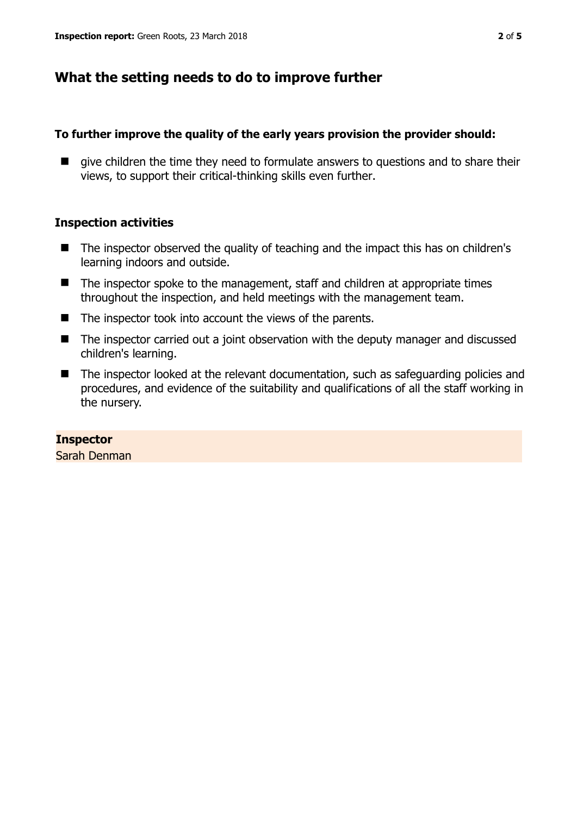# **What the setting needs to do to improve further**

### **To further improve the quality of the early years provision the provider should:**

 $\blacksquare$  give children the time they need to formulate answers to questions and to share their views, to support their critical-thinking skills even further.

## **Inspection activities**

- The inspector observed the quality of teaching and the impact this has on children's learning indoors and outside.
- The inspector spoke to the management, staff and children at appropriate times throughout the inspection, and held meetings with the management team.
- The inspector took into account the views of the parents.
- The inspector carried out a joint observation with the deputy manager and discussed children's learning.
- The inspector looked at the relevant documentation, such as safeguarding policies and procedures, and evidence of the suitability and qualifications of all the staff working in the nursery.

## **Inspector**

Sarah Denman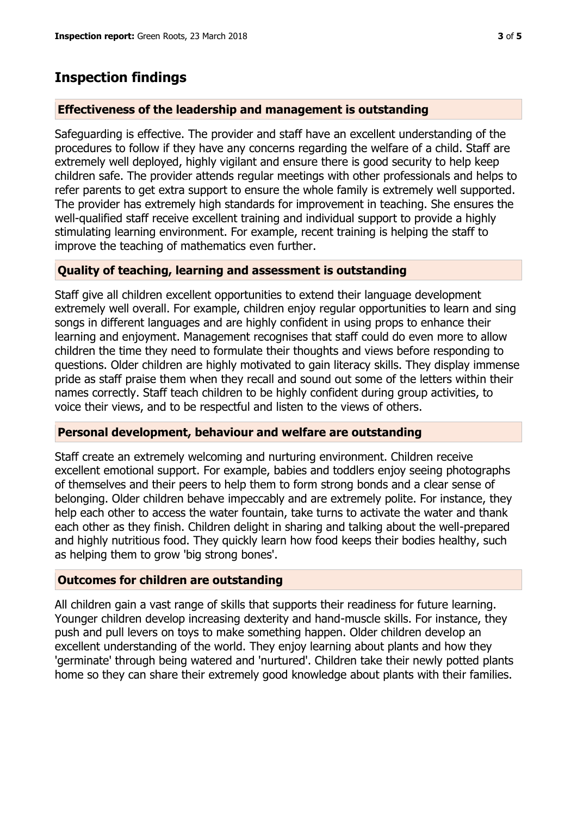## **Inspection findings**

#### **Effectiveness of the leadership and management is outstanding**

Safeguarding is effective. The provider and staff have an excellent understanding of the procedures to follow if they have any concerns regarding the welfare of a child. Staff are extremely well deployed, highly vigilant and ensure there is good security to help keep children safe. The provider attends regular meetings with other professionals and helps to refer parents to get extra support to ensure the whole family is extremely well supported. The provider has extremely high standards for improvement in teaching. She ensures the well-qualified staff receive excellent training and individual support to provide a highly stimulating learning environment. For example, recent training is helping the staff to improve the teaching of mathematics even further.

#### **Quality of teaching, learning and assessment is outstanding**

Staff give all children excellent opportunities to extend their language development extremely well overall. For example, children enjoy regular opportunities to learn and sing songs in different languages and are highly confident in using props to enhance their learning and enjoyment. Management recognises that staff could do even more to allow children the time they need to formulate their thoughts and views before responding to questions. Older children are highly motivated to gain literacy skills. They display immense pride as staff praise them when they recall and sound out some of the letters within their names correctly. Staff teach children to be highly confident during group activities, to voice their views, and to be respectful and listen to the views of others.

#### **Personal development, behaviour and welfare are outstanding**

Staff create an extremely welcoming and nurturing environment. Children receive excellent emotional support. For example, babies and toddlers enjoy seeing photographs of themselves and their peers to help them to form strong bonds and a clear sense of belonging. Older children behave impeccably and are extremely polite. For instance, they help each other to access the water fountain, take turns to activate the water and thank each other as they finish. Children delight in sharing and talking about the well-prepared and highly nutritious food. They quickly learn how food keeps their bodies healthy, such as helping them to grow 'big strong bones'.

#### **Outcomes for children are outstanding**

All children gain a vast range of skills that supports their readiness for future learning. Younger children develop increasing dexterity and hand-muscle skills. For instance, they push and pull levers on toys to make something happen. Older children develop an excellent understanding of the world. They enjoy learning about plants and how they 'germinate' through being watered and 'nurtured'. Children take their newly potted plants home so they can share their extremely good knowledge about plants with their families.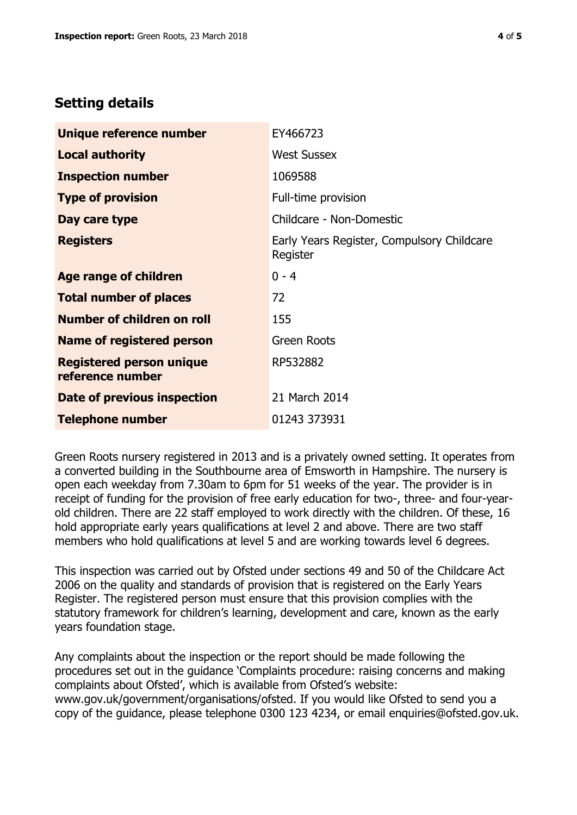# **Setting details**

| Unique reference number                             | EY466723                                               |  |
|-----------------------------------------------------|--------------------------------------------------------|--|
| <b>Local authority</b>                              | <b>West Sussex</b>                                     |  |
| <b>Inspection number</b>                            | 1069588                                                |  |
| <b>Type of provision</b>                            | Full-time provision                                    |  |
| Day care type                                       | Childcare - Non-Domestic                               |  |
| <b>Registers</b>                                    | Early Years Register, Compulsory Childcare<br>Register |  |
| Age range of children                               | $0 - 4$                                                |  |
| <b>Total number of places</b>                       | 72                                                     |  |
| Number of children on roll                          | 155                                                    |  |
| Name of registered person                           | <b>Green Roots</b>                                     |  |
| <b>Registered person unique</b><br>reference number | RP532882                                               |  |
| Date of previous inspection                         | 21 March 2014                                          |  |
| <b>Telephone number</b>                             | 01243 373931                                           |  |

Green Roots nursery registered in 2013 and is a privately owned setting. It operates from a converted building in the Southbourne area of Emsworth in Hampshire. The nursery is open each weekday from 7.30am to 6pm for 51 weeks of the year. The provider is in receipt of funding for the provision of free early education for two-, three- and four-yearold children. There are 22 staff employed to work directly with the children. Of these, 16 hold appropriate early years qualifications at level 2 and above. There are two staff members who hold qualifications at level 5 and are working towards level 6 degrees.

This inspection was carried out by Ofsted under sections 49 and 50 of the Childcare Act 2006 on the quality and standards of provision that is registered on the Early Years Register. The registered person must ensure that this provision complies with the statutory framework for children's learning, development and care, known as the early years foundation stage.

Any complaints about the inspection or the report should be made following the procedures set out in the guidance 'Complaints procedure: raising concerns and making complaints about Ofsted', which is available from Ofsted's website: www.gov.uk/government/organisations/ofsted. If you would like Ofsted to send you a copy of the guidance, please telephone 0300 123 4234, or email enquiries@ofsted.gov.uk.